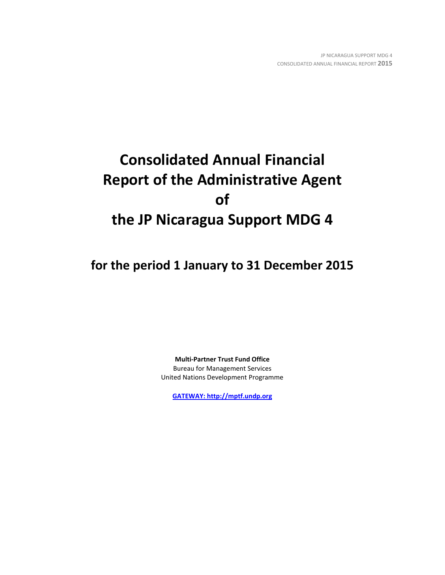# **Consolidated Annual Financial Report of the Administrative Agent of the JP Nicaragua Support MDG 4**

**for the period 1 January to 31 December 2015**

**Multi-Partner Trust Fund Office** Bureau for Management Services United Nations Development Programme

**[GATEWAY: http://mptf.undp.org](http://mptf.undp.org/)**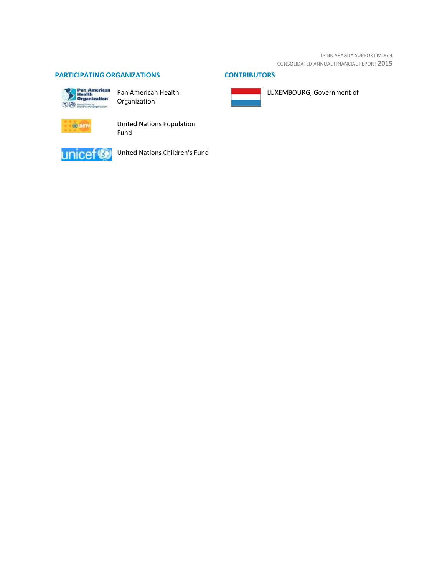JP NICARAGUA SUPPORT MDG 4 CONSOLIDATED ANNUAL FINANCIAL REPORT **2015**

LUXEMBOURG, Government of

# **PARTICIPATING ORGANIZATIONS CONTRIBUTORS**



Pan American Health Organization



United Nations Population Fund



United Nations Children's Fund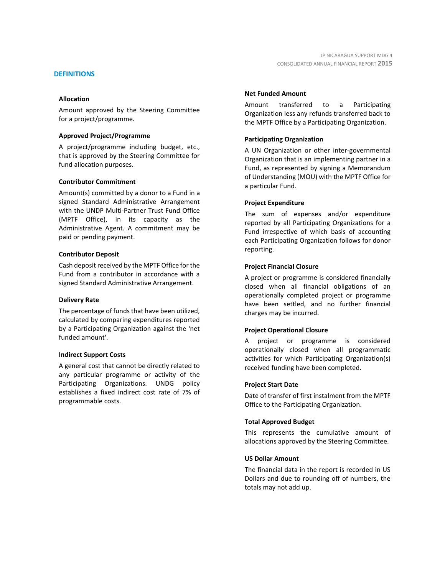## **DEFINITIONS**

## **Allocation**

Amount approved by the Steering Committee for a project/programme.

## **Approved Project/Programme**

A project/programme including budget, etc., that is approved by the Steering Committee for fund allocation purposes.

## **Contributor Commitment**

Amount(s) committed by a donor to a Fund in a signed Standard Administrative Arrangement with the UNDP Multi-Partner Trust Fund Office (MPTF Office), in its capacity as the Administrative Agent. A commitment may be paid or pending payment.

## **Contributor Deposit**

Cash deposit received by the MPTF Office for the Fund from a contributor in accordance with a signed Standard Administrative Arrangement.

## **Delivery Rate**

The percentage of funds that have been utilized, calculated by comparing expenditures reported by a Participating Organization against the 'net funded amount'.

## **Indirect Support Costs**

A general cost that cannot be directly related to any particular programme or activity of the Participating Organizations. UNDG policy establishes a fixed indirect cost rate of 7% of programmable costs.

## **Net Funded Amount**

Amount transferred to a Participating Organization less any refunds transferred back to the MPTF Office by a Participating Organization.

## **Participating Organization**

A UN Organization or other inter-governmental Organization that is an implementing partner in a Fund, as represented by signing a Memorandum of Understanding (MOU) with the MPTF Office for a particular Fund.

## **Project Expenditure**

The sum of expenses and/or expenditure reported by all Participating Organizations for a Fund irrespective of which basis of accounting each Participating Organization follows for donor reporting.

## **Project Financial Closure**

A project or programme is considered financially closed when all financial obligations of an operationally completed project or programme have been settled, and no further financial charges may be incurred.

## **Project Operational Closure**

A project or programme is considered operationally closed when all programmatic activities for which Participating Organization(s) received funding have been completed.

## **Project Start Date**

Date of transfer of first instalment from the MPTF Office to the Participating Organization.

## **Total Approved Budget**

This represents the cumulative amount of allocations approved by the Steering Committee.

## **US Dollar Amount**

The financial data in the report is recorded in US Dollars and due to rounding off of numbers, the totals may not add up.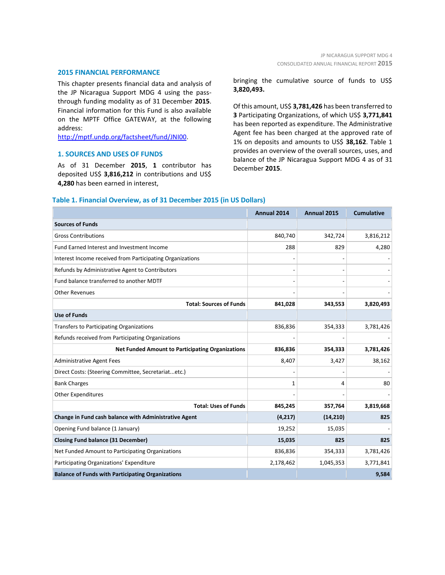#### **2015 FINANCIAL PERFORMANCE**

This chapter presents financial data and analysis of the JP Nicaragua Support MDG 4 using the passthrough funding modality as of 31 December **2015**. Financial information for this Fund is also available on the MPTF Office GATEWAY, at the following address:

[http://mptf.undp.org/factsheet/fund/JNI00.](http://mptf.undp.org/factsheet/fund/JNI00)

## **1. SOURCES AND USES OF FUNDS**

As of 31 December **2015**, **1** contributor has deposited US\$ **3,816,212** in contributions and US\$ **4,280** has been earned in interest,

bringing the cumulative source of funds to US\$ **3,820,493.**

Of this amount, US\$ **3,781,426** has been transferred to **3** Participating Organizations, of which US\$ **3,771,841** has been reported as expenditure. The Administrative Agent fee has been charged at the approved rate of 1% on deposits and amounts to US\$ **38,162**. Table 1 provides an overview of the overall sources, uses, and balance of the JP Nicaragua Support MDG 4 as of 31 December **2015**.

## **Table 1. Financial Overview, as of 31 December 2015 (in US Dollars)**

|                                                           | Annual 2014 | Annual 2015 | <b>Cumulative</b> |
|-----------------------------------------------------------|-------------|-------------|-------------------|
| <b>Sources of Funds</b>                                   |             |             |                   |
| <b>Gross Contributions</b>                                | 840,740     | 342,724     | 3,816,212         |
| Fund Earned Interest and Investment Income                | 288         | 829         | 4,280             |
| Interest Income received from Participating Organizations |             |             |                   |
| Refunds by Administrative Agent to Contributors           |             |             |                   |
| Fund balance transferred to another MDTF                  |             |             |                   |
| <b>Other Revenues</b>                                     |             |             |                   |
| <b>Total: Sources of Funds</b>                            | 841,028     | 343,553     | 3,820,493         |
| <b>Use of Funds</b>                                       |             |             |                   |
| <b>Transfers to Participating Organizations</b>           | 836,836     | 354,333     | 3,781,426         |
| Refunds received from Participating Organizations         |             |             |                   |
| <b>Net Funded Amount to Participating Organizations</b>   | 836,836     | 354,333     | 3,781,426         |
| <b>Administrative Agent Fees</b>                          | 8,407       | 3,427       | 38,162            |
| Direct Costs: (Steering Committee, Secretariatetc.)       |             |             |                   |
| <b>Bank Charges</b>                                       | 1           | 4           | 80                |
| <b>Other Expenditures</b>                                 |             |             |                   |
| <b>Total: Uses of Funds</b>                               | 845,245     | 357,764     | 3,819,668         |
| Change in Fund cash balance with Administrative Agent     | (4, 217)    | (14, 210)   | 825               |
| Opening Fund balance (1 January)                          | 19,252      | 15,035      |                   |
| <b>Closing Fund balance (31 December)</b>                 | 15,035      | 825         | 825               |
| Net Funded Amount to Participating Organizations          | 836,836     | 354,333     | 3,781,426         |
| Participating Organizations' Expenditure                  | 2,178,462   | 1,045,353   | 3,771,841         |
| <b>Balance of Funds with Participating Organizations</b>  |             |             | 9,584             |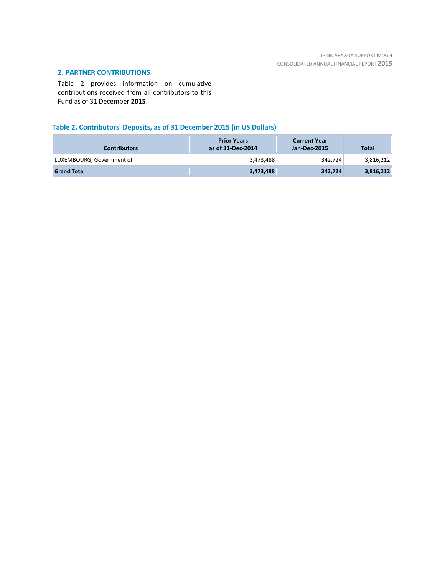# **2. PARTNER CONTRIBUTIONS**

Table 2 provides information on cumulative contributions received from all contributors to this Fund as of 31 December **2015**.

# **Table 2. Contributors' Deposits, as of 31 December 2015 (in US Dollars)**

| <b>Contributors</b>       | <b>Prior Years</b><br>as of 31-Dec-2014 | <b>Current Year</b><br>Jan-Dec-2015 | <b>Total</b> |
|---------------------------|-----------------------------------------|-------------------------------------|--------------|
| LUXEMBOURG, Government of | 3,473,488                               | 342,724                             | 3,816,212    |
| <b>Grand Total</b>        | 3,473,488                               | 342,724                             | 3,816,212    |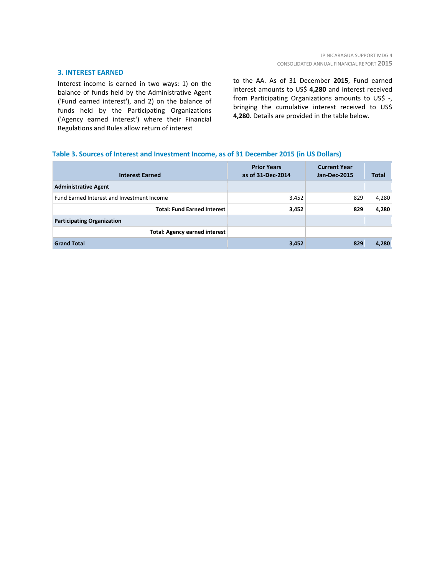## **3. INTEREST EARNED**

Interest income is earned in two ways: 1) on the balance of funds held by the Administrative Agent ('Fund earned interest'), and 2) on the balance of funds held by the Participating Organizations ('Agency earned interest') where their Financial Regulations and Rules allow return of interest

to the AA. As of 31 December **2015**, Fund earned interest amounts to US\$ **4,280** and interest received from Participating Organizations amounts to US\$ **-**, bringing the cumulative interest received to US\$ **4,280**. Details are provided in the table below.

## **Table 3. Sources of Interest and Investment Income, as of 31 December 2015 (in US Dollars)**

| <b>Interest Earned</b>                     | <b>Prior Years</b><br>as of 31-Dec-2014 | <b>Current Year</b><br>Jan-Dec-2015 | <b>Total</b> |
|--------------------------------------------|-----------------------------------------|-------------------------------------|--------------|
| <b>Administrative Agent</b>                |                                         |                                     |              |
| Fund Earned Interest and Investment Income | 3,452                                   | 829                                 | 4,280        |
| <b>Total: Fund Earned Interest</b>         | 3,452                                   | 829                                 | 4,280        |
| <b>Participating Organization</b>          |                                         |                                     |              |
| <b>Total: Agency earned interest</b>       |                                         |                                     |              |
| <b>Grand Total</b>                         | 3,452                                   | 829                                 | 4,280        |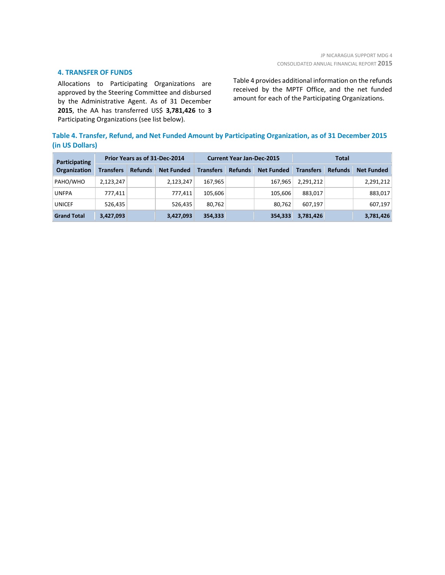## **4. TRANSFER OF FUNDS**

Allocations to Participating Organizations are approved by the Steering Committee and disbursed by the Administrative Agent. As of 31 December **2015**, the AA has transferred US\$ **3,781,426** to **3** Participating Organizations (see list below).

Table 4 provides additional information on the refunds received by the MPTF Office, and the net funded amount for each of the Participating Organizations.

## **Table 4. Transfer, Refund, and Net Funded Amount by Participating Organization, as of 31 December 2015 (in US Dollars)**

| Participating<br>Organization | Prior Years as of 31-Dec-2014 |                |                   | <b>Current Year Jan-Dec-2015</b> |                |                   | Total            |                |                   |
|-------------------------------|-------------------------------|----------------|-------------------|----------------------------------|----------------|-------------------|------------------|----------------|-------------------|
|                               | <b>Transfers</b>              | <b>Refunds</b> | <b>Net Funded</b> | <b>Transfers</b>                 | <b>Refunds</b> | <b>Net Funded</b> | <b>Transfers</b> | <b>Refunds</b> | <b>Net Funded</b> |
| PAHO/WHO                      | 2.123.247                     |                | 2.123.247         | 167.965                          |                | 167.965           | 2,291,212        |                | 2,291,212         |
| <b>UNFPA</b>                  | 777.411                       |                | 777.411           | 105.606                          |                | 105.606           | 883.017          |                | 883,017           |
| <b>UNICEF</b>                 | 526,435                       |                | 526,435           | 80,762                           |                | 80.762            | 607.197          |                | 607,197           |
| <b>Grand Total</b>            | 3,427,093                     |                | 3,427,093         | 354,333                          |                | 354,333           | 3,781,426        |                | 3,781,426         |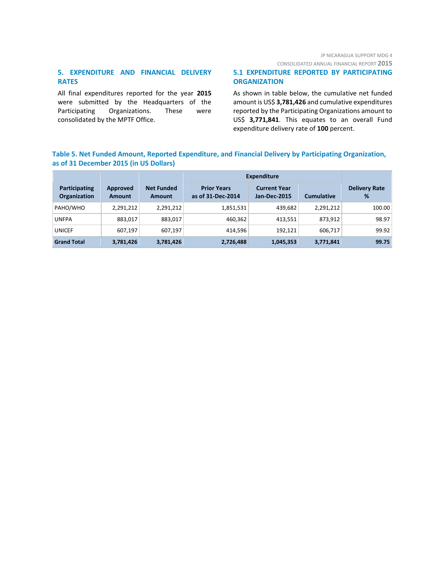# JP NICARAGUA SUPPORT MDG 4

CONSOLIDATED ANNUAL FINANCIAL REPORT **2015**

# **5. EXPENDITURE AND FINANCIAL DELIVERY RATES**

All final expenditures reported for the year **2015** were submitted by the Headquarters of the Participating Organizations. These were consolidated by the MPTF Office.

## **5.1 EXPENDITURE REPORTED BY PARTICIPATING ORGANIZATION**

As shown in table below, the cumulative net funded amount is US\$ **3,781,426** and cumulative expenditures reported by the Participating Organizations amount to US\$ **3,771,841**. This equates to an overall Fund expenditure delivery rate of **100** percent.

## **Table 5. Net Funded Amount, Reported Expenditure, and Financial Delivery by Participating Organization, as of 31 December 2015 (in US Dollars)**

|                               |                           |                                    | <b>Expenditure</b>                      |                                            |                   |                           |
|-------------------------------|---------------------------|------------------------------------|-----------------------------------------|--------------------------------------------|-------------------|---------------------------|
| Participating<br>Organization | Approved<br><b>Amount</b> | <b>Net Funded</b><br><b>Amount</b> | <b>Prior Years</b><br>as of 31-Dec-2014 | <b>Current Year</b><br><b>Jan-Dec-2015</b> | <b>Cumulative</b> | <b>Delivery Rate</b><br>% |
| PAHO/WHO                      | 2,291,212                 | 2,291,212                          | 1,851,531                               | 439,682                                    | 2,291,212         | 100.00                    |
| <b>UNFPA</b>                  | 883,017                   | 883,017                            | 460,362                                 | 413,551                                    | 873.912           | 98.97                     |
| <b>UNICEF</b>                 | 607,197                   | 607,197                            | 414,596                                 | 192,121                                    | 606.717           | 99.92                     |
| <b>Grand Total</b>            | 3,781,426                 | 3,781,426                          | 2,726,488                               | 1,045,353                                  | 3,771,841         | 99.75                     |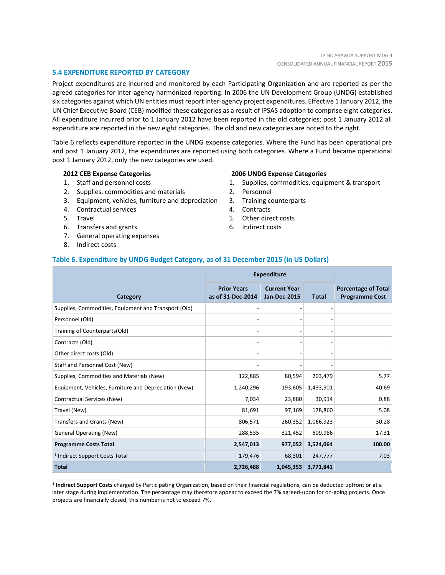## **5.4 EXPENDITURE REPORTED BY CATEGORY**

Project expenditures are incurred and monitored by each Participating Organization and are reported as per the agreed categories for inter-agency harmonized reporting. In 2006 the UN Development Group (UNDG) established six categories against which UN entities must report inter-agency project expenditures. Effective 1 January 2012, the UN Chief Executive Board (CEB) modified these categories as a result of IPSAS adoption to comprise eight categories. All expenditure incurred prior to 1 January 2012 have been reported in the old categories; post 1 January 2012 all expenditure are reported in the new eight categories. The old and new categories are noted to the right.

Table 6 reflects expenditure reported in the UNDG expense categories. Where the Fund has been operational pre and post 1 January 2012, the expenditures are reported using both categories. Where a Fund became operational post 1 January 2012, only the new categories are used.

## **2012 CEB Expense Categories**

- 1. Staff and personnel costs
- 2. Supplies, commodities and materials
- 3. Equipment, vehicles, furniture and depreciation
- 4. Contractual services
- 5. Travel
- 6. Transfers and grants
- 7. General operating expenses
- 8. Indirect costs

\_\_\_\_\_\_\_\_\_\_\_\_\_\_\_\_\_\_\_\_\_\_

#### **2006 UNDG Expense Categories**

- 1. Supplies, commodities, equipment & transport
- 2. Personnel
- 3. Training counterparts
- 4. Contracts
- 5. Other direct costs
- 6. Indirect costs

## **Table 6. Expenditure by UNDG Budget Category, as of 31 December 2015 (in US Dollars)**

|                                                       | <b>Expenditure</b>                      |                                            |              |                                                     |
|-------------------------------------------------------|-----------------------------------------|--------------------------------------------|--------------|-----------------------------------------------------|
| Category                                              | <b>Prior Years</b><br>as of 31-Dec-2014 | <b>Current Year</b><br><b>Jan-Dec-2015</b> | <b>Total</b> | <b>Percentage of Total</b><br><b>Programme Cost</b> |
| Supplies, Commodities, Equipment and Transport (Old)  |                                         |                                            |              |                                                     |
| Personnel (Old)                                       |                                         |                                            |              |                                                     |
| Training of Counterparts(Old)                         |                                         |                                            |              |                                                     |
| Contracts (Old)                                       |                                         |                                            |              |                                                     |
| Other direct costs (Old)                              |                                         |                                            |              |                                                     |
| Staff and Personnel Cost (New)                        |                                         |                                            |              |                                                     |
| Supplies, Commodities and Materials (New)             | 122,885                                 | 80,594                                     | 203,479      | 5.77                                                |
| Equipment, Vehicles, Furniture and Depreciation (New) | 1,240,296                               | 193,605                                    | 1,433,901    | 40.69                                               |
| Contractual Services (New)                            | 7,034                                   | 23,880                                     | 30,914       | 0.88                                                |
| Travel (New)                                          | 81,691                                  | 97,169                                     | 178,860      | 5.08                                                |
| Transfers and Grants (New)                            | 806,571                                 | 260,352                                    | 1,066,923    | 30.28                                               |
| <b>General Operating (New)</b>                        | 288,535                                 | 321,452                                    | 609,986      | 17.31                                               |
| <b>Programme Costs Total</b>                          | 2,547,013                               | 977,052                                    | 3,524,064    | 100.00                                              |
| <sup>1</sup> Indirect Support Costs Total             | 179,476                                 | 68,301                                     | 247,777      | 7.03                                                |
| <b>Total</b>                                          | 2,726,488                               | 1,045,353                                  | 3,771,841    |                                                     |

**1 Indirect Support Costs** charged by Participating Organization, based on their financial regulations, can be deducted upfront or at a later stage during implementation. The percentage may therefore appear to exceed the 7% agreed-upon for on-going projects. Once projects are financially closed, this number is not to exceed 7%.